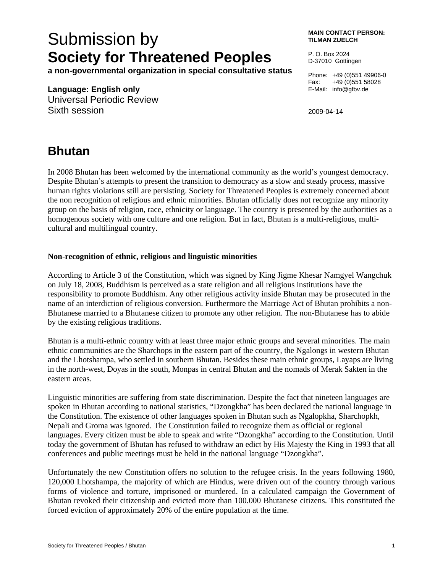## Submission by **Society for Threatened Peoples**

**a non-governmental organization in special consultative status** 

## **Language: English only**

Universal Periodic Review Sixth session

**MAIN CONTACT PERSON: TILMAN ZUELCH** 

P. O. Box 2024 D-37010 Göttingen

Phone: +49 (0)551 49906-0 Fax: +49 (0)551 58028 E-Mail: info@gfbv.de

2009-04-14

## **Bhutan**

In 2008 Bhutan has been welcomed by the international community as the world's youngest democracy. Despite Bhutan's attempts to present the transition to democracy as a slow and steady process, massive human rights violations still are persisting. Society for Threatened Peoples is extremely concerned about the non recognition of religious and ethnic minorities. Bhutan officially does not recognize any minority group on the basis of religion, race, ethnicity or language. The country is presented by the authorities as a homogenous society with one culture and one religion. But in fact, Bhutan is a multi-religious, multicultural and multilingual country.

## **Non-recognition of ethnic, religious and linguistic minorities**

According to Article 3 of the Constitution, which was signed by King Jigme Khesar Namgyel Wangchuk on July 18, 2008, Buddhism is perceived as a state religion and all religious institutions have the responsibility to promote Buddhism. Any other religious activity inside Bhutan may be prosecuted in the name of an interdiction of religious conversion. Furthermore the Marriage Act of Bhutan prohibits a non-Bhutanese married to a Bhutanese citizen to promote any other religion. The non-Bhutanese has to abide by the existing religious traditions.

Bhutan is a multi-ethnic country with at least three major ethnic groups and several minorities. The main ethnic communities are the Sharchops in the eastern part of the country, the Ngalongs in western Bhutan and the Lhotshampa, who settled in southern Bhutan. Besides these main ethnic groups, Layaps are living in the north-west, Doyas in the south, Monpas in central Bhutan and the nomads of Merak Sakten in the eastern areas.

Linguistic minorities are suffering from state discrimination. Despite the fact that nineteen languages are spoken in Bhutan according to national statistics, "Dzongkha" has been declared the national language in the Constitution. The existence of other languages spoken in Bhutan such as Ngalopkha, Sharchopkh, Nepali and Groma was ignored. The Constitution failed to recognize them as official or regional languages. Every citizen must be able to speak and write "Dzongkha" according to the Constitution. Until today the government of Bhutan has refused to withdraw an edict by His Majesty the King in 1993 that all conferences and public meetings must be held in the national language "Dzongkha".

Unfortunately the new Constitution offers no solution to the refugee crisis. In the years following 1980, 120,000 Lhotshampa, the majority of which are Hindus, were driven out of the country through various forms of violence and torture, imprisoned or murdered. In a calculated campaign the Government of Bhutan revoked their citizenship and evicted more than 100.000 Bhutanese citizens. This constituted the forced eviction of approximately 20% of the entire population at the time.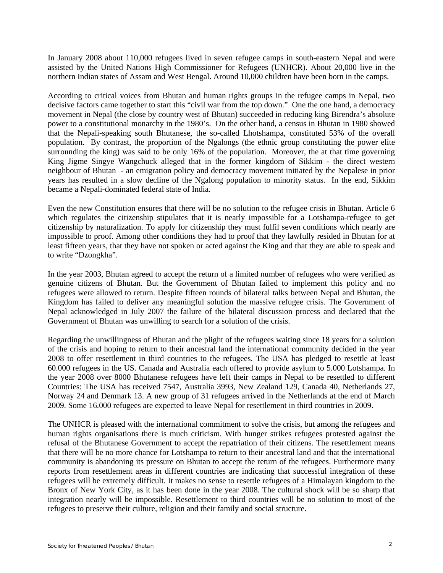In January 2008 about 110,000 refugees lived in seven refugee camps in south-eastern Nepal and were assisted by the United Nations High Commissioner for Refugees (UNHCR). About 20,000 live in the northern Indian states of Assam and West Bengal. Around 10,000 children have been born in the camps.

According to critical voices from Bhutan and human rights groups in the refugee camps in Nepal, two decisive factors came together to start this "civil war from the top down." One the one hand, a democracy movement in Nepal (the close by country west of Bhutan) succeeded in reducing king Birendra's absolute power to a constitutional monarchy in the 1980's. On the other hand, a census in Bhutan in 1980 showed that the Nepali-speaking south Bhutanese, the so-called Lhotshampa, constituted 53% of the overall population. By contrast, the proportion of the Ngalongs (the ethnic group constituting the power elite surrounding the king) was said to be only 16% of the population. Moreover, the at that time governing King Jigme Singye Wangchuck alleged that in the former kingdom of Sikkim - the direct western neighbour of Bhutan - an emigration policy and democracy movement initiated by the Nepalese in prior years has resulted in a slow decline of the Ngalong population to minority status. In the end, Sikkim became a Nepali-dominated federal state of India.

Even the new Constitution ensures that there will be no solution to the refugee crisis in Bhutan. Article 6 which regulates the citizenship stipulates that it is nearly impossible for a Lotshampa-refugee to get citizenship by naturalization. To apply for citizenship they must fulfil seven conditions which nearly are impossible to proof. Among other conditions they had to proof that they lawfully resided in Bhutan for at least fifteen years, that they have not spoken or acted against the King and that they are able to speak and to write "Dzongkha".

In the year 2003, Bhutan agreed to accept the return of a limited number of refugees who were verified as genuine citizens of Bhutan. But the Government of Bhutan failed to implement this policy and no refugees were allowed to return. Despite fifteen rounds of bilateral talks between Nepal and Bhutan, the Kingdom has failed to deliver any meaningful solution the massive refugee crisis. The Government of Nepal acknowledged in July 2007 the failure of the bilateral discussion process and declared that the Government of Bhutan was unwilling to search for a solution of the crisis.

Regarding the unwillingness of Bhutan and the plight of the refugees waiting since 18 years for a solution of the crisis and hoping to return to their ancestral land the international community decided in the year 2008 to offer resettlement in third countries to the refugees. The USA has pledged to resettle at least 60.000 refugees in the US. Canada and Australia each offered to provide asylum to 5.000 Lotshampa. In the year 2008 over 8000 Bhutanese refugees have left their camps in Nepal to be resettled to different Countries: The USA has received 7547, Australia 3993, New Zealand 129, Canada 40, Netherlands 27, Norway 24 and Denmark 13. A new group of 31 refugees arrived in the Netherlands at the end of March 2009. Some 16.000 refugees are expected to leave Nepal for resettlement in third countries in 2009.

The UNHCR is pleased with the international commitment to solve the crisis, but among the refugees and human rights organisations there is much criticism. With hunger strikes refugees protested against the refusal of the Bhutanese Government to accept the repatriation of their citizens. The resettlement means that there will be no more chance for Lotshampa to return to their ancestral land and that the international community is abandoning its pressure on Bhutan to accept the return of the refugees. Furthermore many reports from resettlement areas in different countries are indicating that successful integration of these refugees will be extremely difficult. It makes no sense to resettle refugees of a Himalayan kingdom to the Bronx of New York City, as it has been done in the year 2008. The cultural shock will be so sharp that integration nearly will be impossible. Resettlement to third countries will be no solution to most of the refugees to preserve their culture, religion and their family and social structure.